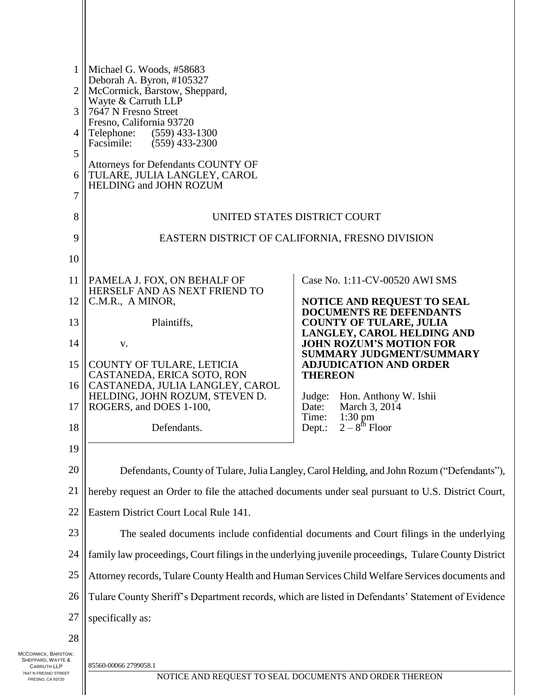| $\mathbf{1}$<br>2         | Michael G. Woods, #58683<br>Deborah A. Byron, #105327<br>McCormick, Barstow, Sheppard,<br>Wayte & Carruth LLP<br>7647 N Fresno Street<br>Fresno, California 93720<br>Telephone:<br>$(559)$ 433-1300<br>Facsimile:<br>$(559)$ 433-2300 |                                                                                            |  |  |  |
|---------------------------|---------------------------------------------------------------------------------------------------------------------------------------------------------------------------------------------------------------------------------------|--------------------------------------------------------------------------------------------|--|--|--|
| 3                         |                                                                                                                                                                                                                                       |                                                                                            |  |  |  |
| 4                         |                                                                                                                                                                                                                                       |                                                                                            |  |  |  |
| 5                         |                                                                                                                                                                                                                                       |                                                                                            |  |  |  |
| 6                         | <b>Attorneys for Defendants COUNTY OF</b><br>TULARE, JULIA LANGLEY, CAROL                                                                                                                                                             |                                                                                            |  |  |  |
| 7                         | HELDING and JOHN ROZUM                                                                                                                                                                                                                |                                                                                            |  |  |  |
| 8                         | UNITED STATES DISTRICT COURT                                                                                                                                                                                                          |                                                                                            |  |  |  |
| 9                         | EASTERN DISTRICT OF CALIFORNIA, FRESNO DIVISION                                                                                                                                                                                       |                                                                                            |  |  |  |
| 10                        |                                                                                                                                                                                                                                       |                                                                                            |  |  |  |
| 11                        | PAMELA J. FOX, ON BEHALF OF                                                                                                                                                                                                           | Case No. 1:11-CV-00520 AWI SMS                                                             |  |  |  |
| 12                        | HERSELF AND AS NEXT FRIEND TO<br>C.M.R., A MINOR,                                                                                                                                                                                     | <b>NOTICE AND REQUEST TO SEAL</b>                                                          |  |  |  |
| 13                        | Plaintiffs,                                                                                                                                                                                                                           | <b>DOCUMENTS RE DEFENDANTS</b><br><b>COUNTY OF TULARE, JULIA</b>                           |  |  |  |
| 14                        | V.                                                                                                                                                                                                                                    | LANGLEY, CAROL HELDING AND<br><b>JOHN ROZUM'S MOTION FOR</b>                               |  |  |  |
| 15                        | COUNTY OF TULARE, LETICIA                                                                                                                                                                                                             | <b>SUMMARY JUDGMENT/SUMMARY</b><br><b>ADJUDICATION AND ORDER</b>                           |  |  |  |
| 16                        | CASTANEDA, ERICA SOTO, RON<br>CASTANEDA, JULIA LANGLEY, CAROL                                                                                                                                                                         | <b>THEREON</b>                                                                             |  |  |  |
| 17                        | HELDING, JOHN ROZUM, STEVEN D.<br>ROGERS, and DOES 1-100,                                                                                                                                                                             | Judge:<br>Hon. Anthony W. Ishii<br>March 3, 2014<br>Date:                                  |  |  |  |
| 18                        | Defendants.                                                                                                                                                                                                                           | Time:<br>$1:30$ pm<br>$2-8^{th}$ Floor<br>Dept.:                                           |  |  |  |
| 19                        |                                                                                                                                                                                                                                       |                                                                                            |  |  |  |
| 20                        |                                                                                                                                                                                                                                       | Defendants, County of Tulare, Julia Langley, Carol Helding, and John Rozum ("Defendants"), |  |  |  |
| 21                        | hereby request an Order to file the attached documents under seal pursuant to U.S. District Court,                                                                                                                                    |                                                                                            |  |  |  |
| 22                        | Eastern District Court Local Rule 141.                                                                                                                                                                                                |                                                                                            |  |  |  |
| 23                        | The sealed documents include confidential documents and Court filings in the underlying                                                                                                                                               |                                                                                            |  |  |  |
| 24                        | family law proceedings, Court filings in the underlying juvenile proceedings, Tulare County District                                                                                                                                  |                                                                                            |  |  |  |
| 25                        | Attorney records, Tulare County Health and Human Services Child Welfare Services documents and                                                                                                                                        |                                                                                            |  |  |  |
| 26                        | Tulare County Sheriff's Department records, which are listed in Defendants' Statement of Evidence                                                                                                                                     |                                                                                            |  |  |  |
| 27                        | specifically as:                                                                                                                                                                                                                      |                                                                                            |  |  |  |
| 28                        |                                                                                                                                                                                                                                       |                                                                                            |  |  |  |
| row,<br><sub>E&amp;</sub> | 85560-00066 2799058.1                                                                                                                                                                                                                 |                                                                                            |  |  |  |

MCCORMICK, BARSTOW, SHEPPARD, WAYTE & CARRUTH LLP 7647 N FRESNO STREET FRESNO, CA 93720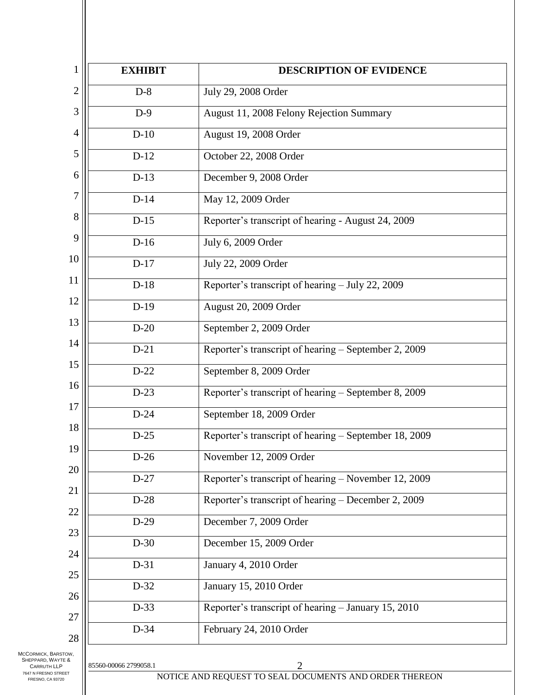| <b>EXHIBIT</b> | <b>DESCRIPTION OF EVIDENCE</b>                        |
|----------------|-------------------------------------------------------|
| $D-8$          | July 29, 2008 Order                                   |
| $D-9$          | August 11, 2008 Felony Rejection Summary              |
| $D-10$         | August 19, 2008 Order                                 |
| $D-12$         | October 22, 2008 Order                                |
| $D-13$         | December 9, 2008 Order                                |
| $D-14$         | May 12, 2009 Order                                    |
| $D-15$         | Reporter's transcript of hearing - August 24, 2009    |
| $D-16$         | July 6, 2009 Order                                    |
| $D-17$         | July 22, 2009 Order                                   |
| $D-18$         | Reporter's transcript of hearing - July 22, 2009      |
| $D-19$         | August 20, 2009 Order                                 |
| $D-20$         | September 2, 2009 Order                               |
| $D-21$         | Reporter's transcript of hearing - September 2, 2009  |
| $D-22$         | September 8, 2009 Order                               |
| $D-23$         | Reporter's transcript of hearing – September 8, 2009  |
| $D-24$         | September 18, 2009 Order                              |
| $D-25$         | Reporter's transcript of hearing - September 18, 2009 |
| $D-26$         | November 12, 2009 Order                               |
| $D-27$         | Reporter's transcript of hearing - November 12, 2009  |
| $D-28$         | Reporter's transcript of hearing – December 2, 2009   |
| $D-29$         | December 7, 2009 Order                                |
| $D-30$         | December 15, 2009 Order                               |
| $D-31$         | January 4, 2010 Order                                 |
| $D-32$         | January 15, 2010 Order                                |
| $D-33$         | Reporter's transcript of hearing - January 15, 2010   |
| D-34           | February 24, 2010 Order                               |

MCCORMICK, BARSTOW, SHEPPARD, WAYTE & CARRUTH LLP 7647 N FRESNO STREET FRESNO, CA 93720

NOTICE AND REQUEST TO SEAL DOCUMENTS AND ORDER THEREON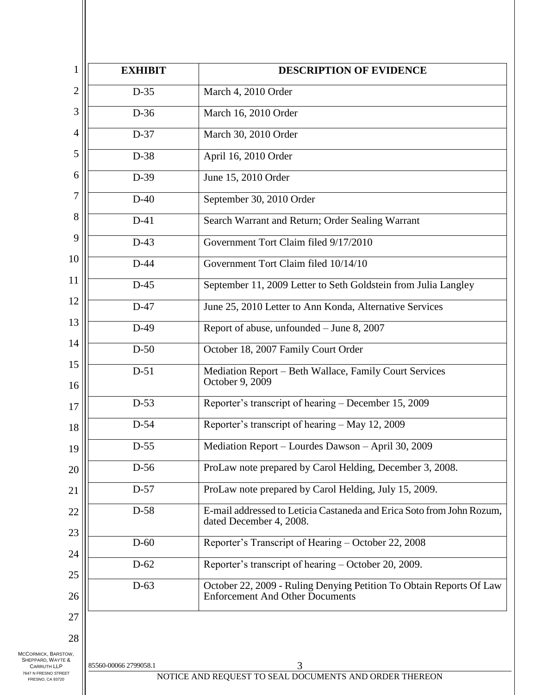| 1                                                              | <b>EXHIBIT</b>        | <b>DESCRIPTION OF EVIDENCE</b>                                                                                |
|----------------------------------------------------------------|-----------------------|---------------------------------------------------------------------------------------------------------------|
| $\overline{2}$                                                 | $D-35$                | March 4, 2010 Order                                                                                           |
| 3                                                              | D-36                  | March 16, 2010 Order                                                                                          |
| 4                                                              | D-37                  | March 30, 2010 Order                                                                                          |
| 5                                                              | D-38                  | April 16, 2010 Order                                                                                          |
| 6                                                              | $D-39$                | June 15, 2010 Order                                                                                           |
| 7                                                              | $D-40$                | September 30, 2010 Order                                                                                      |
| 8                                                              | $D-41$                | Search Warrant and Return; Order Sealing Warrant                                                              |
| 9                                                              | $D-43$                | Government Tort Claim filed 9/17/2010                                                                         |
| 10                                                             | $D-44$                | Government Tort Claim filed 10/14/10                                                                          |
| 11                                                             | $D-45$                | September 11, 2009 Letter to Seth Goldstein from Julia Langley                                                |
| 12                                                             | $D-47$                | June 25, 2010 Letter to Ann Konda, Alternative Services                                                       |
| 13                                                             | $D-49$                | Report of abuse, unfounded - June 8, 2007                                                                     |
| 14                                                             | $D-50$                | October 18, 2007 Family Court Order                                                                           |
| 15                                                             | $D-51$                | Mediation Report - Beth Wallace, Family Court Services<br>October 9, 2009                                     |
| 16<br>17                                                       | $D-53$                | Reporter's transcript of hearing - December 15, 2009                                                          |
| 18                                                             | D-54                  | Reporter's transcript of hearing - May 12, 2009                                                               |
| 19                                                             | $D-55$                | Mediation Report - Lourdes Dawson - April 30, 2009                                                            |
| 20                                                             | $D-56$                | ProLaw note prepared by Carol Helding, December 3, 2008.                                                      |
| 21                                                             | $D-57$                | ProLaw note prepared by Carol Helding, July 15, 2009.                                                         |
| 22                                                             | D-58                  | E-mail addressed to Leticia Castaneda and Erica Soto from John Rozum,<br>dated December 4, 2008.              |
| 23                                                             | $D-60$                | Reporter's Transcript of Hearing - October 22, 2008                                                           |
| 24                                                             | $D-62$                | Reporter's transcript of hearing – October 20, 2009.                                                          |
| 25                                                             |                       |                                                                                                               |
| 26                                                             | $D-63$                | October 22, 2009 - Ruling Denying Petition To Obtain Reports Of Law<br><b>Enforcement And Other Documents</b> |
| 27                                                             |                       |                                                                                                               |
| 28                                                             |                       |                                                                                                               |
| MCCORMICK, BARSTOW,<br>SHEPPARD, WAYTE &<br><b>CARRUTH LLP</b> | 85560-00066 2799058.1 |                                                                                                               |
| 7647 N FRESNO STREET<br>FRESNO, CA 93720                       |                       | NOTICE AND REQUEST TO SEAL DOCUMENTS AND ORDER THEREON                                                        |